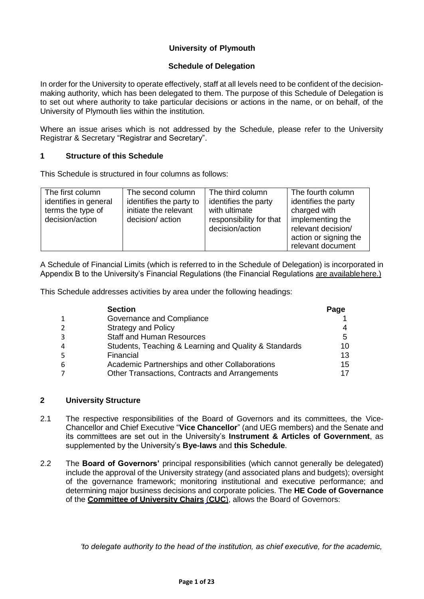## **University of Plymouth**

### **Schedule of Delegation**

In order for the University to operate effectively, staff at all levels need to be confident of the decisionmaking authority, which has been delegated to them. The purpose of this Schedule of Delegation is to set out where authority to take particular decisions or actions in the name, or on behalf, of the University of Plymouth lies within the institution.

Where an issue arises which is not addressed by the Schedule, please refer to the University Registrar & Secretary "Registrar and Secretary".

#### **1 Structure of this Schedule**

This Schedule is structured in four columns as follows:

| The first column                           | The second column                                | The third column                           | The fourth column                                               |
|--------------------------------------------|--------------------------------------------------|--------------------------------------------|-----------------------------------------------------------------|
| identifies in general<br>terms the type of | identifies the party to<br>initiate the relevant | identifies the party<br>with ultimate      | identifies the party<br>charged with                            |
| decision/action                            | decision/action                                  | responsibility for that<br>decision/action | implementing the<br>relevant decision/<br>action or signing the |
|                                            |                                                  |                                            | relevant document                                               |

A Schedule of Financial Limits (which is referred to in the Schedule of Delegation) is incorporated in Appendix B to the University's Financial Regulations (the Financial Regulations [are availablehere.\)](https://liveplymouthac.sharepoint.com/sites/officialdocumentcentre/Documents/Forms/Regulations.aspx)

This Schedule addresses activities by area under the following headings:

|                | <b>Section</b>                                        | Page |
|----------------|-------------------------------------------------------|------|
| 1              | Governance and Compliance                             |      |
| $\overline{2}$ | <b>Strategy and Policy</b>                            |      |
| 3              | <b>Staff and Human Resources</b>                      | 5    |
| 4              | Students, Teaching & Learning and Quality & Standards | 10   |
| 5              | Financial                                             | 13   |
| 6              | Academic Partnerships and other Collaborations        | 15   |
| 7              | Other Transactions, Contracts and Arrangements        |      |

### **2 University Structure**

- 2.1 The respective responsibilities of the Board of Governors and its committees, the Vice-Chancellor and Chief Executive "**Vice Chancellor**" (and UEG members) and the Senate and its committees are set out in the University's **Instrument & Articles of Government**, as supplemented by the University's **Bye-laws** and **this Schedule**.
- 2.2 The **Board of Governors'** principal responsibilities (which cannot generally be delegated) include the approval of the University strategy (and associated plans and budgets); oversight of the governance framework; monitoring institutional and executive performance; and determining major business decisions and corporate policies. The **HE Code of Governance**  of the **[Committee of University Chairs](http://www.universitychairs.ac.uk/wp-content/uploads/2015/02/Code-Final.pdf)** (**CUC**), allows the Board of Governors:

*'to delegate authority to the head of the institution, as chief executive, for the academic,*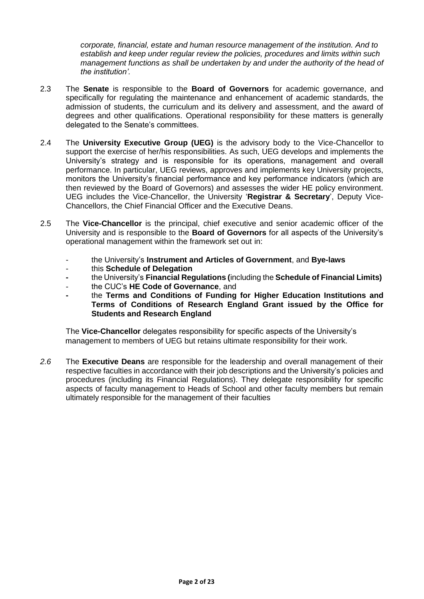*corporate, financial, estate and human resource management of the institution. And to establish and keep under regular review the policies, procedures and limits within such management functions as shall be undertaken by and under the authority of the head of the institution'.*

- 2.3 The **Senate** is responsible to the **Board of Governors** for academic governance, and specifically for regulating the maintenance and enhancement of academic standards, the admission of students, the curriculum and its delivery and assessment, and the award of degrees and other qualifications. Operational responsibility for these matters is generally delegated to the Senate's committees.
- 2.4 The **University Executive Group (UEG)** is the advisory body to the Vice-Chancellor to support the exercise of her/his responsibilities. As such, UEG develops and implements the University's strategy and is responsible for its operations, management and overall performance. In particular, UEG reviews, approves and implements key University projects, monitors the University's financial performance and key performance indicators (which are then reviewed by the Board of Governors) and assesses the wider HE policy environment. UEG includes the Vice-Chancellor, the University '**Registrar & Secretary**', Deputy Vice-Chancellors, the Chief Financial Officer and the Executive Deans.
- 2.5 The **Vice-Chancellor** is the principal, chief executive and senior academic officer of the University and is responsible to the **Board of Governors** for all aspects of the University's operational management within the framework set out in:
	- the University's **Instrument and Articles of Government**, and **Bye-laws**
	- this **Schedule of Delegation**
	- **-** the University's **Financial Regulations (**including the **Schedule of Financial Limits)**
	- the CUC's **HE Code of Governance**, and
	- **-** the **Terms and Conditions of Funding for Higher Education Institutions and Terms of Conditions of Research England Grant issued by the Office for Students and Research England**

The **Vice-Chancellor** delegates responsibility for specific aspects of the University's management to members of UEG but retains ultimate responsibility for their work.

*2.6* The **Executive Deans** are responsible for the leadership and overall management of their respective faculties in accordance with their job descriptions and the University's policies and procedures (including its Financial Regulations). They delegate responsibility for specific aspects of faculty management to Heads of School and other faculty members but remain ultimately responsible for the management of their faculties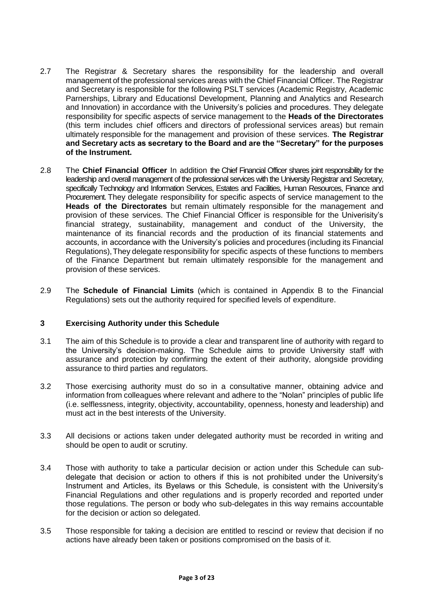- 2.7 The Registrar & Secretary shares the responsibility for the leadership and overall management of the professional services areas with the Chief Financial Officer. The Registrar and Secretary is responsible for the following PSLT services (Academic Registry, Academic Parnerships, Library and Educationsl Development, Planning and Analytics and Research and Innovation) in accordance with the University's policies and procedures. They delegate responsibility for specific aspects of service management to the **Heads of the Directorates**  (this term includes chief officers and directors of professional services areas) but remain ultimately responsible for the management and provision of these services. **The Registrar and Secretary acts as secretary to the Board and are the "Secretary" for the purposes of the Instrument.**
- 2.8 The **Chief Financial Officer** In addition the Chief Financial Officer shares joint responsibility for the leadership and overall management of the professional services with the University Registrar and Secretary, specifically Technology and Information Services, Estates and Facilities, Human Resources, Finance and Procurement. They delegate responsibility for specific aspects of service management to the **Heads of the Directorates** but remain ultimately responsible for the management and provision of these services. The Chief Financial Officer is responsible for the Univerisity's financial strategy, sustainability, management and conduct of the University, the maintenance of its financial records and the production of its financial statements and accounts, in accordance with the University's policies and procedures (including its Financial Regulations), They delegate responsibility for specific aspects of these functions to members of the Finance Department but remain ultimately responsible for the management and provision of these services.
- 2.9 The **Schedule of Financial Limits** (which is contained in Appendix B to the Financial Regulations) sets out the authority required for specified levels of expenditure.

#### **3 Exercising Authority under this Schedule**

- 3.1 The aim of this Schedule is to provide a clear and transparent line of authority with regard to the University's decision-making. The Schedule aims to provide University staff with assurance and protection by confirming the extent of their authority, alongside providing assurance to third parties and regulators.
- 3.2 Those exercising authority must do so in a consultative manner, obtaining advice and information from colleagues where relevant and adhere to the "Nolan" principles of public life (i.e. selflessness, integrity, objectivity, accountability, openness, honesty and leadership) and must act in the best interests of the University.
- 3.3 All decisions or actions taken under delegated authority must be recorded in writing and should be open to audit or scrutiny.
- 3.4 Those with authority to take a particular decision or action under this Schedule can subdelegate that decision or action to others if this is not prohibited under the University's Instrument and Articles, its Byelaws or this Schedule, is consistent with the University's Financial Regulations and other regulations and is properly recorded and reported under those regulations. The person or body who sub-delegates in this way remains accountable for the decision or action so delegated.
- 3.5 Those responsible for taking a decision are entitled to rescind or review that decision if no actions have already been taken or positions compromised on the basis of it.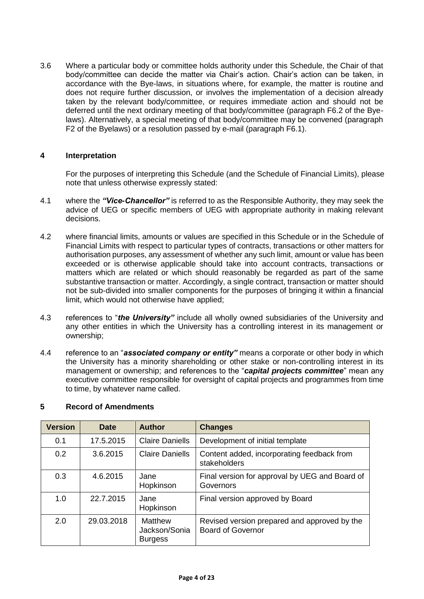3.6 Where a particular body or committee holds authority under this Schedule, the Chair of that body/committee can decide the matter via Chair's action. Chair's action can be taken, in accordance with the Bye-laws, in situations where, for example, the matter is routine and does not require further discussion, or involves the implementation of a decision already taken by the relevant body/committee, or requires immediate action and should not be deferred until the next ordinary meeting of that body/committee (paragraph F6.2 of the Byelaws). Alternatively, a special meeting of that body/committee may be convened (paragraph F2 of the Byelaws) or a resolution passed by e-mail (paragraph F6.1).

### **4 Interpretation**

For the purposes of interpreting this Schedule (and the Schedule of Financial Limits), please note that unless otherwise expressly stated:

- 4.1 where the *"Vice-Chancellor"* is referred to as the Responsible Authority, they may seek the advice of UEG or specific members of UEG with appropriate authority in making relevant decisions.
- 4.2 where financial limits, amounts or values are specified in this Schedule or in the Schedule of Financial Limits with respect to particular types of contracts, transactions or other matters for authorisation purposes, any assessment of whether any such limit, amount or value has been exceeded or is otherwise applicable should take into account contracts, transactions or matters which are related or which should reasonably be regarded as part of the same substantive transaction or matter. Accordingly, a single contract, transaction or matter should not be sub-divided into smaller components for the purposes of bringing it within a financial limit, which would not otherwise have applied;
- 4.3 references to "*the University"* include all wholly owned subsidiaries of the University and any other entities in which the University has a controlling interest in its management or ownership;
- 4.4 reference to an "*associated company or entity"* means a corporate or other body in which the University has a minority shareholding or other stake or non-controlling interest in its management or ownership; and references to the "*capital projects committee*" mean any executive committee responsible for oversight of capital projects and programmes from time to time, by whatever name called.

| <b>Version</b> | Date       | <b>Author</b>                              | <b>Changes</b>                                                           |
|----------------|------------|--------------------------------------------|--------------------------------------------------------------------------|
| 0.1            | 17.5.2015  | <b>Claire Daniells</b>                     | Development of initial template                                          |
| 0.2            | 3.6.2015   | <b>Claire Daniells</b>                     | Content added, incorporating feedback from<br>stakeholders               |
| 0.3            | 4.6.2015   | Jane<br>Hopkinson                          | Final version for approval by UEG and Board of<br>Governors              |
| 1.0            | 22.7.2015  | Jane<br>Hopkinson                          | Final version approved by Board                                          |
| 2.0            | 29.03.2018 | Matthew<br>Jackson/Sonia<br><b>Burgess</b> | Revised version prepared and approved by the<br><b>Board of Governor</b> |

#### **5 Record of Amendments**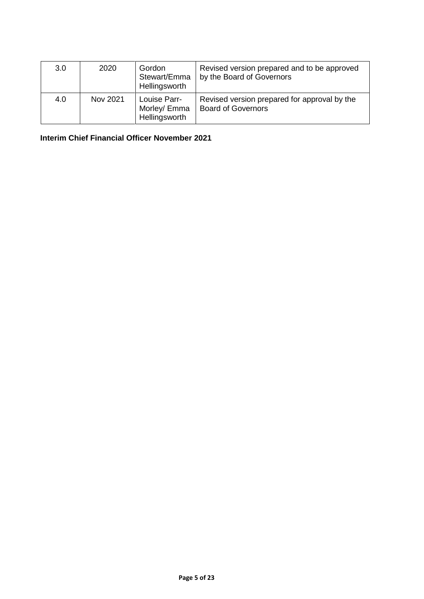| 3.0 | 2020     | Gordon<br>Stewart/Emma<br>Hellingsworth       | Revised version prepared and to be approved<br>by the Board of Governors  |
|-----|----------|-----------------------------------------------|---------------------------------------------------------------------------|
| 4.0 | Nov 2021 | Louise Parr-<br>Morley/ Emma<br>Hellingsworth | Revised version prepared for approval by the<br><b>Board of Governors</b> |

**Interim Chief Financial Officer November 2021**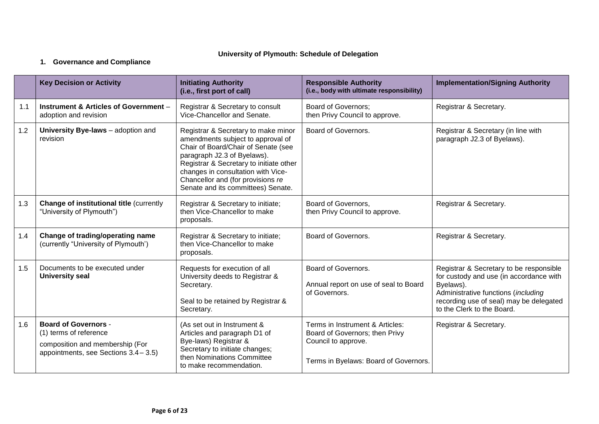## **University of Plymouth: Schedule of Delegation**

# **1. Governance and Compliance**

|     | <b>Key Decision or Activity</b>                                                                                                   | <b>Initiating Authority</b><br>(i.e., first port of call)                                                                                                                                                                                                                                                  | <b>Responsible Authority</b><br>(i.e., body with ultimate responsibility)                                                         | <b>Implementation/Signing Authority</b>                                                                                                                                                                         |
|-----|-----------------------------------------------------------------------------------------------------------------------------------|------------------------------------------------------------------------------------------------------------------------------------------------------------------------------------------------------------------------------------------------------------------------------------------------------------|-----------------------------------------------------------------------------------------------------------------------------------|-----------------------------------------------------------------------------------------------------------------------------------------------------------------------------------------------------------------|
| 1.1 | Instrument & Articles of Government -<br>adoption and revision                                                                    | Registrar & Secretary to consult<br>Vice-Chancellor and Senate.                                                                                                                                                                                                                                            | <b>Board of Governors;</b><br>then Privy Council to approve.                                                                      | Registrar & Secretary.                                                                                                                                                                                          |
| 1.2 | University Bye-laws - adoption and<br>revision                                                                                    | Registrar & Secretary to make minor<br>amendments subject to approval of<br>Chair of Board/Chair of Senate (see<br>paragraph J2.3 of Byelaws).<br>Registrar & Secretary to initiate other<br>changes in consultation with Vice-<br>Chancellor and (for provisions re<br>Senate and its committees) Senate. | Board of Governors.                                                                                                               | Registrar & Secretary (in line with<br>paragraph J2.3 of Byelaws).                                                                                                                                              |
| 1.3 | <b>Change of institutional title (currently</b><br>"University of Plymouth")                                                      | Registrar & Secretary to initiate;<br>then Vice-Chancellor to make<br>proposals.                                                                                                                                                                                                                           | Board of Governors,<br>then Privy Council to approve.                                                                             | Registrar & Secretary.                                                                                                                                                                                          |
| 1.4 | Change of trading/operating name<br>(currently "University of Plymouth')                                                          | Registrar & Secretary to initiate;<br>then Vice-Chancellor to make<br>proposals.                                                                                                                                                                                                                           | Board of Governors.                                                                                                               | Registrar & Secretary.                                                                                                                                                                                          |
| 1.5 | Documents to be executed under<br><b>University seal</b>                                                                          | Requests for execution of all<br>University deeds to Registrar &<br>Secretary.<br>Seal to be retained by Registrar &<br>Secretary.                                                                                                                                                                         | Board of Governors.<br>Annual report on use of seal to Board<br>of Governors.                                                     | Registrar & Secretary to be responsible<br>for custody and use (in accordance with<br>Byelaws).<br>Administrative functions (including<br>recording use of seal) may be delegated<br>to the Clerk to the Board. |
| 1.6 | <b>Board of Governors -</b><br>(1) terms of reference<br>composition and membership (For<br>appointments, see Sections 3.4 - 3.5) | (As set out in Instrument &<br>Articles and paragraph D1 of<br>Bye-laws) Registrar &<br>Secretary to initiate changes;<br>then Nominations Committee<br>to make recommendation.                                                                                                                            | Terms in Instrument & Articles:<br>Board of Governors; then Privy<br>Council to approve.<br>Terms in Byelaws: Board of Governors. | Registrar & Secretary.                                                                                                                                                                                          |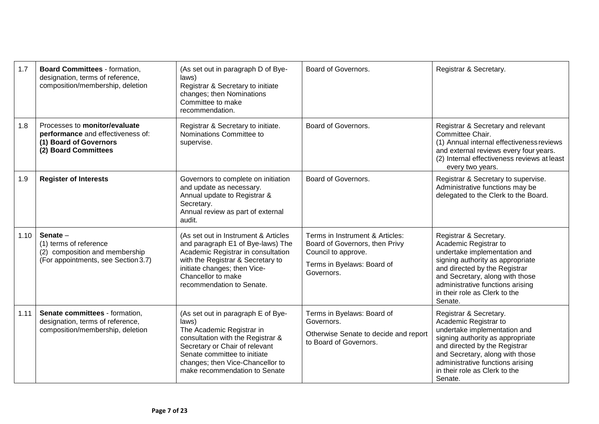| 1.7  | <b>Board Committees - formation,</b><br>designation, terms of reference,<br>composition/membership, deletion         | (As set out in paragraph D of Bye-<br>laws)<br>Registrar & Secretary to initiate<br>changes; then Nominations<br>Committee to make<br>recommendation.                                                                                                | Board of Governors.                                                                                                                  | Registrar & Secretary.                                                                                                                                                                                                                                                  |
|------|----------------------------------------------------------------------------------------------------------------------|------------------------------------------------------------------------------------------------------------------------------------------------------------------------------------------------------------------------------------------------------|--------------------------------------------------------------------------------------------------------------------------------------|-------------------------------------------------------------------------------------------------------------------------------------------------------------------------------------------------------------------------------------------------------------------------|
| 1.8  | Processes to monitor/evaluate<br>performance and effectiveness of:<br>(1) Board of Governors<br>(2) Board Committees | Registrar & Secretary to initiate.<br>Nominations Committee to<br>supervise.                                                                                                                                                                         | Board of Governors.                                                                                                                  | Registrar & Secretary and relevant<br>Committee Chair.<br>(1) Annual internal effectiveness reviews<br>and external reviews every four years.<br>(2) Internal effectiveness reviews at least<br>every two years.                                                        |
| 1.9  | <b>Register of Interests</b>                                                                                         | Governors to complete on initiation<br>and update as necessary.<br>Annual update to Registrar &<br>Secretary.<br>Annual review as part of external<br>audit.                                                                                         | Board of Governors.                                                                                                                  | Registrar & Secretary to supervise.<br>Administrative functions may be<br>delegated to the Clerk to the Board.                                                                                                                                                          |
| 1.10 | Senate-<br>(1) terms of reference<br>(2) composition and membership<br>(For appointments, see Section 3.7)           | (As set out in Instrument & Articles<br>and paragraph E1 of Bye-laws) The<br>Academic Registrar in consultation<br>with the Registrar & Secretary to<br>initiate changes; then Vice-<br>Chancellor to make<br>recommendation to Senate.              | Terms in Instrument & Articles:<br>Board of Governors, then Privy<br>Council to approve.<br>Terms in Byelaws: Board of<br>Governors. | Registrar & Secretary.<br>Academic Registrar to<br>undertake implementation and<br>signing authority as appropriate<br>and directed by the Registrar<br>and Secretary, along with those<br>administrative functions arising<br>in their role as Clerk to the<br>Senate. |
| 1.11 | Senate committees - formation,<br>designation, terms of reference,<br>composition/membership, deletion               | (As set out in paragraph E of Bye-<br>laws)<br>The Academic Registrar in<br>consultation with the Registrar &<br>Secretary or Chair of relevant<br>Senate committee to initiate<br>changes; then Vice-Chancellor to<br>make recommendation to Senate | Terms in Byelaws: Board of<br>Governors.<br>Otherwise Senate to decide and report<br>to Board of Governors.                          | Registrar & Secretary.<br>Academic Registrar to<br>undertake implementation and<br>signing authority as appropriate<br>and directed by the Registrar<br>and Secretary, along with those<br>administrative functions arising<br>in their role as Clerk to the<br>Senate. |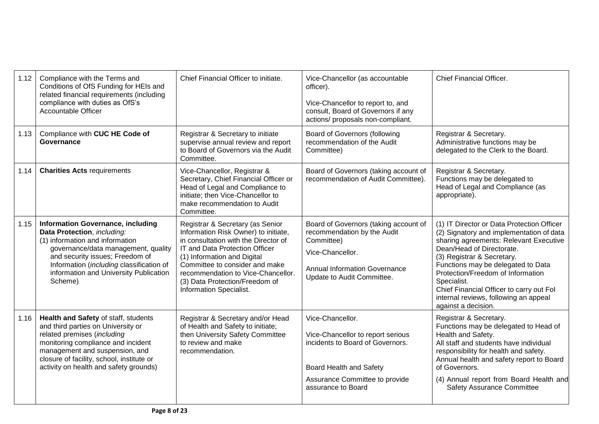| 1.12 | Compliance with the Terms and<br>Conditions of OfS Funding for HEIs and<br>related financial requirements (including<br>compliance with duties as OfS's<br><b>Accountable Officer</b>                                                                                                 | Chief Financial Officer to initiate.                                                                                                                                                                                                                                                                                   | Vice-Chancellor (as accountable<br>officer).<br>Vice-Chancellor to report to, and<br>consult, Board of Governors if any<br>actions/ proposals non-compliant.                 | <b>Chief Financial Officer.</b>                                                                                                                                                                                                                                                                                                                                                                   |
|------|---------------------------------------------------------------------------------------------------------------------------------------------------------------------------------------------------------------------------------------------------------------------------------------|------------------------------------------------------------------------------------------------------------------------------------------------------------------------------------------------------------------------------------------------------------------------------------------------------------------------|------------------------------------------------------------------------------------------------------------------------------------------------------------------------------|---------------------------------------------------------------------------------------------------------------------------------------------------------------------------------------------------------------------------------------------------------------------------------------------------------------------------------------------------------------------------------------------------|
| 1.13 | Compliance with CUC HE Code of<br>Governance                                                                                                                                                                                                                                          | Registrar & Secretary to initiate<br>supervise annual review and report<br>to Board of Governors via the Audit<br>Committee.                                                                                                                                                                                           | Board of Governors (following<br>recommendation of the Audit<br>Committee)                                                                                                   | Registrar & Secretary.<br>Administrative functions may be<br>delegated to the Clerk to the Board.                                                                                                                                                                                                                                                                                                 |
| 1.14 | <b>Charities Acts requirements</b>                                                                                                                                                                                                                                                    | Vice-Chancellor, Registrar &<br>Secretary, Chief Financial Officer or<br>Head of Legal and Compliance to<br>initiate; then Vice-Chancellor to<br>make recommendation to Audit<br>Committee.                                                                                                                            | Board of Governors (taking account of<br>recommendation of Audit Committee).                                                                                                 | Registrar & Secretary.<br>Functions may be delegated to<br>Head of Legal and Compliance (as<br>appropriate).                                                                                                                                                                                                                                                                                      |
| 1.15 | <b>Information Governance, including</b><br>Data Protection, including:<br>(1) information and information<br>governance/data management, quality<br>and security issues; Freedom of<br>Information (including classification of<br>information and University Publication<br>Scheme) | Registrar & Secretary (as Senior<br>Information Risk Owner) to initiate,<br>in consultation with the Director of<br>IT and Data Protection Officer<br>(1) Information and Digital<br>Committee to consider and make<br>recommendation to Vice-Chancellor.<br>(3) Data Protection/Freedom of<br>Information Specialist. | Board of Governors (taking account of<br>recommendation by the Audit<br>Committee)<br>Vice-Chancellor.<br><b>Annual Information Governance</b><br>Update to Audit Committee. | (1) IT Director or Data Protection Officer<br>(2) Signatory and implementation of data<br>sharing agreements: Relevant Executive<br>Dean/Head of Directorate.<br>(3) Registrar & Secretary.<br>Functions may be delegated to Data<br>Protection/Freedom of Information<br>Specialist.<br>Chief Financial Officer to carry out Fol<br>internal reviews, following an appeal<br>against a decision. |
| 1.16 | Health and Safety of staff, students<br>and third parties on University or<br>related premises (including<br>monitoring compliance and incident<br>management and suspension, and<br>closure of facility, school, institute or<br>activity on health and safety grounds)              | Registrar & Secretary and/or Head<br>of Health and Safety to initiate;<br>then University Safety Committee<br>to review and make<br>recommendation.                                                                                                                                                                    | Vice-Chancellor.<br>Vice-Chancellor to report serious<br>incidents to Board of Governors.<br>Board Health and Safety<br>Assurance Committee to provide<br>assurance to Board | Registrar & Secretary.<br>Functions may be delegated to Head of<br>Health and Safety.<br>All staff and students have individual<br>responsibility for health and safety.<br>Annual health and safety report to Board<br>of Governors.<br>(4) Annual report from Board Health and<br><b>Safety Assurance Committee</b>                                                                             |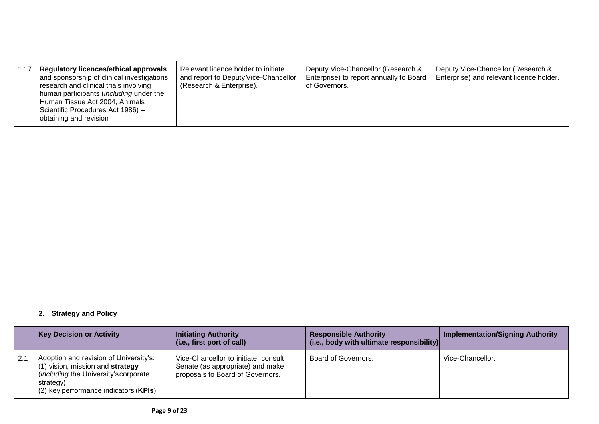| 1.17 | <b>Regulatory licences/ethical approvals</b><br>and sponsorship of clinical investigations,<br>research and clinical trials involving<br>human participants (including under the<br>Human Tissue Act 2004, Animals<br>Scientific Procedures Act 1986) -<br>obtaining and revision | Relevant licence holder to initiate<br>and report to Deputy Vice-Chancellor<br>(Research & Enterprise). | Deputy Vice-Chancellor (Research &<br>Enterprise) to report annually to Board<br>of Governors. | Deputy Vice-Chancellor (Research &<br>Enterprise) and relevant licence holder. |
|------|-----------------------------------------------------------------------------------------------------------------------------------------------------------------------------------------------------------------------------------------------------------------------------------|---------------------------------------------------------------------------------------------------------|------------------------------------------------------------------------------------------------|--------------------------------------------------------------------------------|
|------|-----------------------------------------------------------------------------------------------------------------------------------------------------------------------------------------------------------------------------------------------------------------------------------|---------------------------------------------------------------------------------------------------------|------------------------------------------------------------------------------------------------|--------------------------------------------------------------------------------|

## **2. Strategy and Policy**

|     | <b>Key Decision or Activity</b>                                                                                                                                               | <b>Initiating Authority</b><br>(i.e., first port of call)                                                    | <b>Responsible Authority</b><br>(i.e., body with ultimate responsibility) | <b>Implementation/Signing Authority</b> |
|-----|-------------------------------------------------------------------------------------------------------------------------------------------------------------------------------|--------------------------------------------------------------------------------------------------------------|---------------------------------------------------------------------------|-----------------------------------------|
| 2.1 | Adoption and revision of University's:<br>vision, mission and strategy<br><i>(including the University's corporate)</i><br>strategy)<br>(2) key performance indicators (KPIs) | Vice-Chancellor to initiate, consult<br>Senate (as appropriate) and make<br>proposals to Board of Governors. | Board of Governors.                                                       | Vice-Chancellor.                        |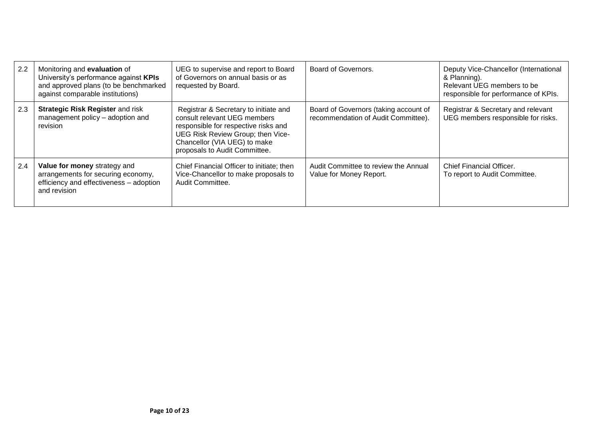| 2.2 | Monitoring and evaluation of<br>University's performance against KPIs<br>and approved plans (to be benchmarked<br>against comparable institutions) | UEG to supervise and report to Board<br>of Governors on annual basis or as<br>requested by Board.                                                                                                                   | Board of Governors.                                                          | Deputy Vice-Chancellor (International<br>& Planning).<br>Relevant UEG members to be<br>responsible for performance of KPIs. |
|-----|----------------------------------------------------------------------------------------------------------------------------------------------------|---------------------------------------------------------------------------------------------------------------------------------------------------------------------------------------------------------------------|------------------------------------------------------------------------------|-----------------------------------------------------------------------------------------------------------------------------|
| 2.3 | <b>Strategic Risk Register and risk</b><br>management policy - adoption and<br>revision                                                            | Registrar & Secretary to initiate and<br>consult relevant UEG members<br>responsible for respective risks and<br>UEG Risk Review Group; then Vice-<br>Chancellor (VIA UEG) to make<br>proposals to Audit Committee. | Board of Governors (taking account of<br>recommendation of Audit Committee). | Registrar & Secretary and relevant<br>UEG members responsible for risks.                                                    |
| 2.4 | Value for money strategy and<br>arrangements for securing economy,<br>efficiency and effectiveness - adoption<br>and revision                      | Chief Financial Officer to initiate; then<br>Vice-Chancellor to make proposals to<br>Audit Committee.                                                                                                               | Audit Committee to review the Annual<br>Value for Money Report.              | <b>Chief Financial Officer.</b><br>To report to Audit Committee.                                                            |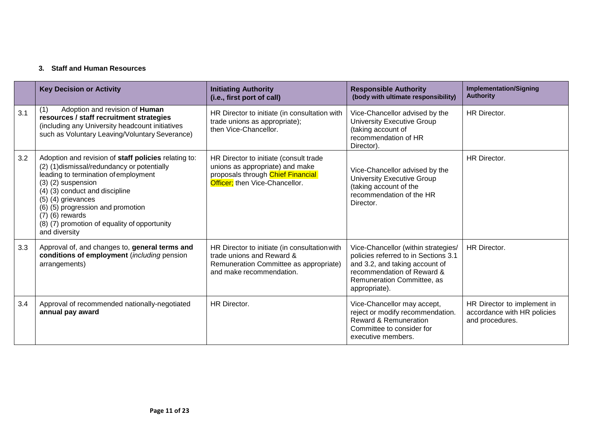# **3. Staff and Human Resources**

|     | <b>Key Decision or Activity</b>                                                                                                                                                                                                                                                                                                                              | <b>Initiating Authority</b><br>(i.e., first port of call)                                                                                        | <b>Responsible Authority</b><br>(body with ultimate responsibility)                                                                                                                        | <b>Implementation/Signing</b><br><b>Authority</b>                             |
|-----|--------------------------------------------------------------------------------------------------------------------------------------------------------------------------------------------------------------------------------------------------------------------------------------------------------------------------------------------------------------|--------------------------------------------------------------------------------------------------------------------------------------------------|--------------------------------------------------------------------------------------------------------------------------------------------------------------------------------------------|-------------------------------------------------------------------------------|
| 3.1 | Adoption and revision of Human<br>(1)<br>resources / staff recruitment strategies<br>(including any University headcount initiatives<br>such as Voluntary Leaving/Voluntary Severance)                                                                                                                                                                       | HR Director to initiate (in consultation with<br>trade unions as appropriate);<br>then Vice-Chancellor.                                          | Vice-Chancellor advised by the<br>University Executive Group<br>(taking account of<br>recommendation of HR<br>Director).                                                                   | <b>HR Director.</b>                                                           |
| 3.2 | Adoption and revision of staff policies relating to:<br>(2) (1) dismissal/redundancy or potentially<br>leading to termination of employment<br>$(3)$ $(2)$ suspension<br>(4) (3) conduct and discipline<br>$(5)$ (4) grievances<br>(6) (5) progression and promotion<br>$(7)$ $(6)$ rewards<br>(8) (7) promotion of equality of opportunity<br>and diversity | HR Director to initiate (consult trade<br>unions as appropriate) and make<br>proposals through Chief Financial<br>Officer; then Vice-Chancellor. | Vice-Chancellor advised by the<br>University Executive Group<br>(taking account of the<br>recommendation of the HR<br>Director.                                                            | <b>HR Director.</b>                                                           |
| 3.3 | Approval of, and changes to, general terms and<br>conditions of employment (including pension<br>arrangements)                                                                                                                                                                                                                                               | HR Director to initiate (in consultation with<br>trade unions and Reward &<br>Remuneration Committee as appropriate)<br>and make recommendation. | Vice-Chancellor (within strategies/<br>policies referred to in Sections 3.1<br>and 3.2, and taking account of<br>recommendation of Reward &<br>Remuneration Committee, as<br>appropriate). | <b>HR Director.</b>                                                           |
| 3.4 | Approval of recommended nationally-negotiated<br>annual pay award                                                                                                                                                                                                                                                                                            | HR Director.                                                                                                                                     | Vice-Chancellor may accept,<br>reject or modify recommendation.<br><b>Reward &amp; Remuneration</b><br>Committee to consider for<br>executive members.                                     | HR Director to implement in<br>accordance with HR policies<br>and procedures. |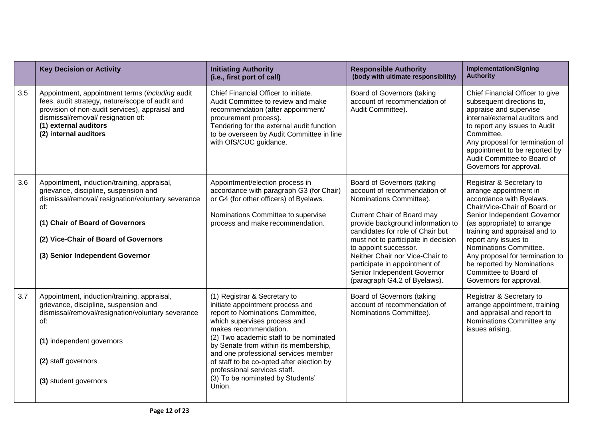|     | <b>Key Decision or Activity</b>                                                                                                                                                                                                                                 | <b>Initiating Authority</b><br>(i.e., first port of call)                                                                                                                                                                                                                                                                                                                                                           | <b>Responsible Authority</b><br>(body with ultimate responsibility)                                                                                                                                                                                                                                                                                                                                    | <b>Implementation/Signing</b><br><b>Authority</b>                                                                                                                                                                                                                                                                                                                                    |
|-----|-----------------------------------------------------------------------------------------------------------------------------------------------------------------------------------------------------------------------------------------------------------------|---------------------------------------------------------------------------------------------------------------------------------------------------------------------------------------------------------------------------------------------------------------------------------------------------------------------------------------------------------------------------------------------------------------------|--------------------------------------------------------------------------------------------------------------------------------------------------------------------------------------------------------------------------------------------------------------------------------------------------------------------------------------------------------------------------------------------------------|--------------------------------------------------------------------------------------------------------------------------------------------------------------------------------------------------------------------------------------------------------------------------------------------------------------------------------------------------------------------------------------|
| 3.5 | Appointment, appointment terms (including audit<br>fees, audit strategy, nature/scope of audit and<br>provision of non-audit services), appraisal and<br>dismissal/removal/ resignation of:<br>(1) external auditors<br>(2) internal auditors                   | Chief Financial Officer to initiate.<br>Audit Committee to review and make<br>recommendation (after appointment/<br>procurement process).<br>Tendering for the external audit function<br>to be overseen by Audit Committee in line<br>with OfS/CUC guidance.                                                                                                                                                       | <b>Board of Governors (taking</b><br>account of recommendation of<br>Audit Committee).                                                                                                                                                                                                                                                                                                                 | Chief Financial Officer to give<br>subsequent directions to,<br>appraise and supervise<br>internal/external auditors and<br>to report any issues to Audit<br>Committee.<br>Any proposal for termination of<br>appointment to be reported by<br>Audit Committee to Board of<br>Governors for approval.                                                                                |
| 3.6 | Appointment, induction/training, appraisal,<br>grievance, discipline, suspension and<br>dismissal/removal/ resignation/voluntary severance<br>of:<br>(1) Chair of Board of Governors<br>(2) Vice-Chair of Board of Governors<br>(3) Senior Independent Governor | Appointment/election process in<br>accordance with paragraph G3 (for Chair)<br>or G4 (for other officers) of Byelaws.<br>Nominations Committee to supervise<br>process and make recommendation.                                                                                                                                                                                                                     | <b>Board of Governors (taking</b><br>account of recommendation of<br>Nominations Committee).<br>Current Chair of Board may<br>provide background information to<br>candidates for role of Chair but<br>must not to participate in decision<br>to appoint successor.<br>Neither Chair nor Vice-Chair to<br>participate in appointment of<br>Senior Independent Governor<br>(paragraph G4.2 of Byelaws). | Registrar & Secretary to<br>arrange appointment in<br>accordance with Byelaws.<br>Chair/Vice-Chair of Board or<br>Senior Independent Governor<br>(as appropriate) to arrange<br>training and appraisal and to<br>report any issues to<br>Nominations Committee.<br>Any proposal for termination to<br>be reported by Nominations<br>Committee to Board of<br>Governors for approval. |
| 3.7 | Appointment, induction/training, appraisal,<br>grievance, discipline, suspension and<br>dismissal/removal/resignation/voluntary severance<br>of:<br>(1) independent governors<br>(2) staff governors<br>(3) student governors                                   | (1) Registrar & Secretary to<br>initiate appointment process and<br>report to Nominations Committee,<br>which supervises process and<br>makes recommendation.<br>(2) Two academic staff to be nominated<br>by Senate from within its membership,<br>and one professional services member<br>of staff to be co-opted after election by<br>professional services staff.<br>(3) To be nominated by Students'<br>Union. | Board of Governors (taking<br>account of recommendation of<br>Nominations Committee).                                                                                                                                                                                                                                                                                                                  | Registrar & Secretary to<br>arrange appointment, training<br>and appraisal and report to<br>Nominations Committee any<br>issues arising.                                                                                                                                                                                                                                             |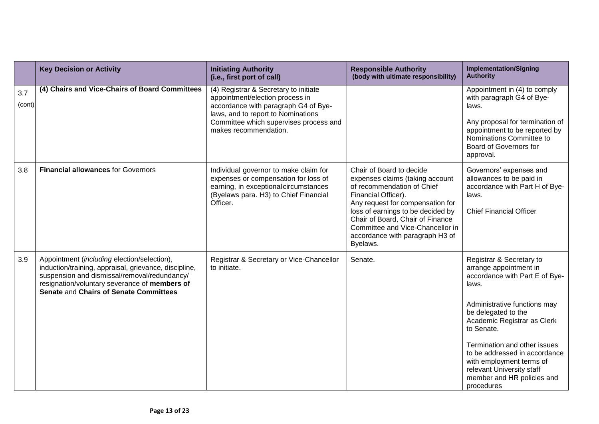|               | <b>Key Decision or Activity</b>                                                                                                                                                                                                                         | <b>Initiating Authority</b><br>(i.e., first port of call)                                                                                                                                                                 | <b>Responsible Authority</b><br>(body with ultimate responsibility)                                                                                                                                                                                                                                              | <b>Implementation/Signing</b><br><b>Authority</b>                                                                                                                                                                                                                                                                                                                       |
|---------------|---------------------------------------------------------------------------------------------------------------------------------------------------------------------------------------------------------------------------------------------------------|---------------------------------------------------------------------------------------------------------------------------------------------------------------------------------------------------------------------------|------------------------------------------------------------------------------------------------------------------------------------------------------------------------------------------------------------------------------------------------------------------------------------------------------------------|-------------------------------------------------------------------------------------------------------------------------------------------------------------------------------------------------------------------------------------------------------------------------------------------------------------------------------------------------------------------------|
| 3.7<br>(cont) | (4) Chairs and Vice-Chairs of Board Committees                                                                                                                                                                                                          | (4) Registrar & Secretary to initiate<br>appointment/election process in<br>accordance with paragraph G4 of Bye-<br>laws, and to report to Nominations<br>Committee which supervises process and<br>makes recommendation. |                                                                                                                                                                                                                                                                                                                  | Appointment in (4) to comply<br>with paragraph G4 of Bye-<br>laws.<br>Any proposal for termination of<br>appointment to be reported by<br>Nominations Committee to<br>Board of Governors for<br>approval.                                                                                                                                                               |
| 3.8           | <b>Financial allowances for Governors</b>                                                                                                                                                                                                               | Individual governor to make claim for<br>expenses or compensation for loss of<br>earning, in exceptional circumstances<br>(Byelaws para. H3) to Chief Financial<br>Officer.                                               | Chair of Board to decide<br>expenses claims (taking account<br>of recommendation of Chief<br>Financial Officer).<br>Any request for compensation for<br>loss of earnings to be decided by<br>Chair of Board, Chair of Finance<br>Committee and Vice-Chancellor in<br>accordance with paragraph H3 of<br>Byelaws. | Governors' expenses and<br>allowances to be paid in<br>accordance with Part H of Bye-<br>laws.<br><b>Chief Financial Officer</b>                                                                                                                                                                                                                                        |
| 3.9           | Appointment ( <i>including</i> election/selection),<br>induction/training, appraisal, grievance, discipline,<br>suspension and dismissal/removal/redundancy/<br>resignation/voluntary severance of members of<br>Senate and Chairs of Senate Committees | Registrar & Secretary or Vice-Chancellor<br>to initiate.                                                                                                                                                                  | Senate.                                                                                                                                                                                                                                                                                                          | Registrar & Secretary to<br>arrange appointment in<br>accordance with Part E of Bye-<br>laws.<br>Administrative functions may<br>be delegated to the<br>Academic Registrar as Clerk<br>to Senate.<br>Termination and other issues<br>to be addressed in accordance<br>with employment terms of<br>relevant University staff<br>member and HR policies and<br>procedures |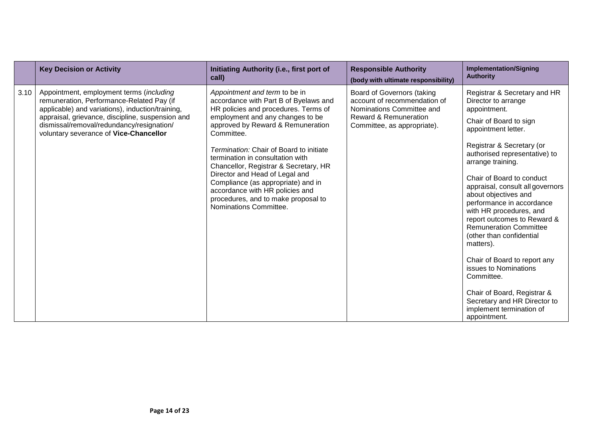|      | <b>Key Decision or Activity</b>                                                                                                                                                                                                                                                      | Initiating Authority (i.e., first port of<br>call)                                                                                                                                                                                                                                                                                                                                                                                                                                                        | <b>Responsible Authority</b><br>(body with ultimate responsibility)                                                                                        | <b>Implementation/Signing</b><br><b>Authority</b>                                                                                                                                                                                                                                                                                                                                                                                                                                                                                                                                                                                                   |
|------|--------------------------------------------------------------------------------------------------------------------------------------------------------------------------------------------------------------------------------------------------------------------------------------|-----------------------------------------------------------------------------------------------------------------------------------------------------------------------------------------------------------------------------------------------------------------------------------------------------------------------------------------------------------------------------------------------------------------------------------------------------------------------------------------------------------|------------------------------------------------------------------------------------------------------------------------------------------------------------|-----------------------------------------------------------------------------------------------------------------------------------------------------------------------------------------------------------------------------------------------------------------------------------------------------------------------------------------------------------------------------------------------------------------------------------------------------------------------------------------------------------------------------------------------------------------------------------------------------------------------------------------------------|
| 3.10 | Appointment, employment terms (including<br>remuneration, Performance-Related Pay (if<br>applicable) and variations), induction/training,<br>appraisal, grievance, discipline, suspension and<br>dismissal/removal/redundancy/resignation/<br>voluntary severance of Vice-Chancellor | Appointment and term to be in<br>accordance with Part B of Byelaws and<br>HR policies and procedures. Terms of<br>employment and any changes to be<br>approved by Reward & Remuneration<br>Committee.<br>Termination: Chair of Board to initiate<br>termination in consultation with<br>Chancellor, Registrar & Secretary, HR<br>Director and Head of Legal and<br>Compliance (as appropriate) and in<br>accordance with HR policies and<br>procedures, and to make proposal to<br>Nominations Committee. | Board of Governors (taking<br>account of recommendation of<br>Nominations Committee and<br><b>Reward &amp; Remuneration</b><br>Committee, as appropriate). | Registrar & Secretary and HR<br>Director to arrange<br>appointment.<br>Chair of Board to sign<br>appointment letter.<br>Registrar & Secretary (or<br>authorised representative) to<br>arrange training.<br>Chair of Board to conduct<br>appraisal, consult all governors<br>about objectives and<br>performance in accordance<br>with HR procedures, and<br>report outcomes to Reward &<br><b>Remuneration Committee</b><br>(other than confidential<br>matters).<br>Chair of Board to report any<br>issues to Nominations<br>Committee.<br>Chair of Board, Registrar &<br>Secretary and HR Director to<br>implement termination of<br>appointment. |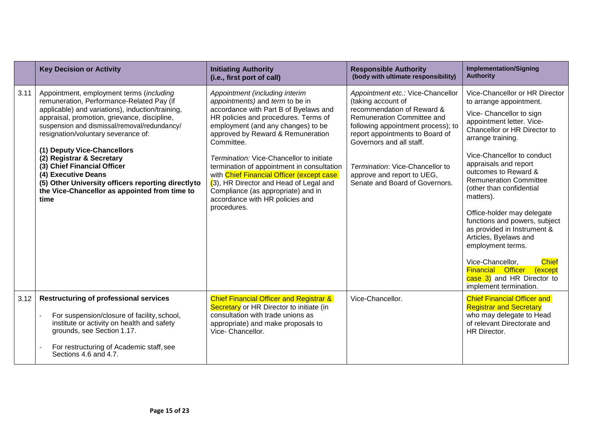|      | <b>Key Decision or Activity</b>                                                                                                                                                                                                                                                                                                                                                                                                                                                                                   | <b>Initiating Authority</b><br>(i.e., first port of call)                                                                                                                                                                                                                                                                                                                                                                                                                                                            | <b>Responsible Authority</b><br>(body with ultimate responsibility)                                                                                                                                                                                                                                                         | <b>Implementation/Signing</b><br><b>Authority</b>                                                                                                                                                                                                                                                                                                                                                                                                                                                                                                                                                               |
|------|-------------------------------------------------------------------------------------------------------------------------------------------------------------------------------------------------------------------------------------------------------------------------------------------------------------------------------------------------------------------------------------------------------------------------------------------------------------------------------------------------------------------|----------------------------------------------------------------------------------------------------------------------------------------------------------------------------------------------------------------------------------------------------------------------------------------------------------------------------------------------------------------------------------------------------------------------------------------------------------------------------------------------------------------------|-----------------------------------------------------------------------------------------------------------------------------------------------------------------------------------------------------------------------------------------------------------------------------------------------------------------------------|-----------------------------------------------------------------------------------------------------------------------------------------------------------------------------------------------------------------------------------------------------------------------------------------------------------------------------------------------------------------------------------------------------------------------------------------------------------------------------------------------------------------------------------------------------------------------------------------------------------------|
| 3.11 | Appointment, employment terms (including<br>remuneration, Performance-Related Pay (if<br>applicable) and variations), induction/training,<br>appraisal, promotion, grievance, discipline,<br>suspension and dismissal/removal/redundancy/<br>resignation/voluntary severance of:<br>(1) Deputy Vice-Chancellors<br>(2) Registrar & Secretary<br>(3) Chief Financial Officer<br>(4) Executive Deans<br>(5) Other University officers reporting directlyto<br>the Vice-Chancellor as appointed from time to<br>time | Appointment (including interim<br>appointments) and term to be in<br>accordance with Part B of Byelaws and<br>HR policies and procedures. Terms of<br>employment (and any changes) to be<br>approved by Reward & Remuneration<br>Committee.<br>Termination: Vice-Chancellor to initiate<br>termination of appointment in consultation<br>with Chief Financial Officer (except case<br>(3), HR Director and Head of Legal and<br>Compliance (as appropriate) and in<br>accordance with HR policies and<br>procedures. | Appointment etc.: Vice-Chancellor<br>(taking account of<br>recommendation of Reward &<br>Remuneration Committee and<br>following appointment process); to<br>report appointments to Board of<br>Governors and all staff.<br>Termination: Vice-Chancellor to<br>approve and report to UEG,<br>Senate and Board of Governors. | Vice-Chancellor or HR Director<br>to arrange appointment.<br>Vice- Chancellor to sign<br>appointment letter. Vice-<br>Chancellor or HR Director to<br>arrange training.<br>Vice-Chancellor to conduct<br>appraisals and report<br>outcomes to Reward &<br><b>Remuneration Committee</b><br>(other than confidential<br>matters).<br>Office-holder may delegate<br>functions and powers, subject<br>as provided in Instrument &<br>Articles, Byelaws and<br>employment terms.<br>Vice-Chancellor,<br><b>Chief</b><br><b>Financial Officer</b><br>(except<br>case 3) and HR Director to<br>implement termination. |
| 3.12 | <b>Restructuring of professional services</b><br>For suspension/closure of facility, school,<br>institute or activity on health and safety<br>grounds, see Section 1.17.<br>For restructuring of Academic staff, see<br>Sections 4.6 and 4.7.                                                                                                                                                                                                                                                                     | <b>Chief Financial Officer and Registrar &amp;</b><br>Secretary or HR Director to initiate (in<br>consultation with trade unions as<br>appropriate) and make proposals to<br>Vice- Chancellor.                                                                                                                                                                                                                                                                                                                       | Vice-Chancellor.                                                                                                                                                                                                                                                                                                            | <b>Chief Financial Officer and</b><br><b>Registrar and Secretary</b><br>who may delegate to Head<br>of relevant Directorate and<br>HR Director.                                                                                                                                                                                                                                                                                                                                                                                                                                                                 |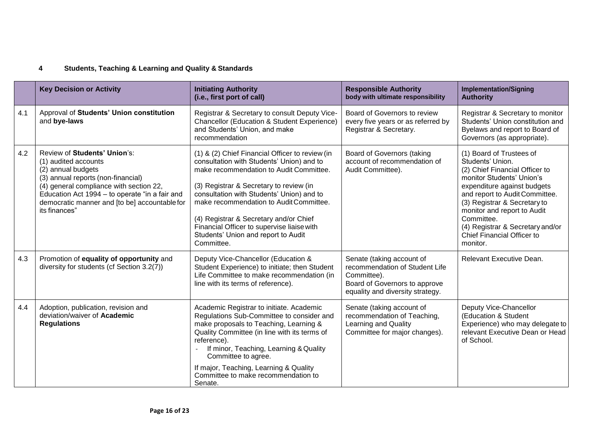# **4 Students, Teaching & Learning and Quality & Standards**

|     | <b>Key Decision or Activity</b>                                                                                                                                                                                                                                                 | <b>Initiating Authority</b><br>(i.e., first port of call)                                                                                                                                                                                                                                                                                                                                                               | <b>Responsible Authority</b><br>body with ultimate responsibility                                                                               | <b>Implementation/Signing</b><br><b>Authority</b>                                                                                                                                                                                                                                                                                       |
|-----|---------------------------------------------------------------------------------------------------------------------------------------------------------------------------------------------------------------------------------------------------------------------------------|-------------------------------------------------------------------------------------------------------------------------------------------------------------------------------------------------------------------------------------------------------------------------------------------------------------------------------------------------------------------------------------------------------------------------|-------------------------------------------------------------------------------------------------------------------------------------------------|-----------------------------------------------------------------------------------------------------------------------------------------------------------------------------------------------------------------------------------------------------------------------------------------------------------------------------------------|
| 4.1 | Approval of Students' Union constitution<br>and bye-laws                                                                                                                                                                                                                        | Registrar & Secretary to consult Deputy Vice-<br><b>Chancellor (Education &amp; Student Experience)</b><br>and Students' Union, and make<br>recommendation                                                                                                                                                                                                                                                              | Board of Governors to review<br>every five years or as referred by<br>Registrar & Secretary.                                                    | Registrar & Secretary to monitor<br>Students' Union constitution and<br>Byelaws and report to Board of<br>Governors (as appropriate).                                                                                                                                                                                                   |
| 4.2 | Review of Students' Union's:<br>(1) audited accounts<br>(2) annual budgets<br>(3) annual reports (non-financial)<br>(4) general compliance with section 22,<br>Education Act 1994 - to operate "in a fair and<br>democratic manner and [to be] accountable for<br>its finances" | (1) & (2) Chief Financial Officer to review (in<br>consultation with Students' Union) and to<br>make recommendation to Audit Committee.<br>(3) Registrar & Secretary to review (in<br>consultation with Students' Union) and to<br>make recommendation to Audit Committee.<br>(4) Registrar & Secretary and/or Chief<br>Financial Officer to supervise liaise with<br>Students' Union and report to Audit<br>Committee. | Board of Governors (taking<br>account of recommendation of<br>Audit Committee).                                                                 | (1) Board of Trustees of<br>Students' Union.<br>(2) Chief Financial Officer to<br>monitor Students' Union's<br>expenditure against budgets<br>and report to Audit Committee.<br>(3) Registrar & Secretary to<br>monitor and report to Audit<br>Committee.<br>(4) Registrar & Secretary and/or<br>Chief Financial Officer to<br>monitor. |
| 4.3 | Promotion of equality of opportunity and<br>diversity for students (cf Section 3.2(7))                                                                                                                                                                                          | Deputy Vice-Chancellor (Education &<br>Student Experience) to initiate; then Student<br>Life Committee to make recommendation (in<br>line with its terms of reference).                                                                                                                                                                                                                                                 | Senate (taking account of<br>recommendation of Student Life<br>Committee).<br>Board of Governors to approve<br>equality and diversity strategy. | Relevant Executive Dean.                                                                                                                                                                                                                                                                                                                |
| 4.4 | Adoption, publication, revision and<br>deviation/waiver of Academic<br><b>Regulations</b>                                                                                                                                                                                       | Academic Registrar to initiate. Academic<br>Regulations Sub-Committee to consider and<br>make proposals to Teaching, Learning &<br>Quality Committee (in line with its terms of<br>reference).<br>If minor, Teaching, Learning & Quality<br>Committee to agree.<br>If major, Teaching, Learning & Quality<br>Committee to make recommendation to<br>Senate.                                                             | Senate (taking account of<br>recommendation of Teaching,<br>Learning and Quality<br>Committee for major changes).                               | Deputy Vice-Chancellor<br>(Education & Student<br>Experience) who may delegate to<br>relevant Executive Dean or Head<br>of School.                                                                                                                                                                                                      |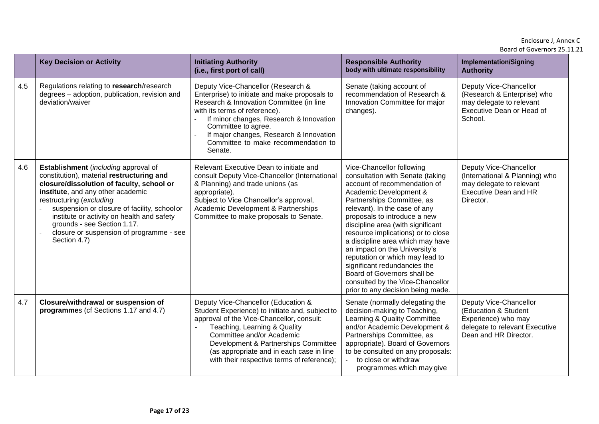#### Enclosure J, Annex C Board of Governors 25.11.21

|     | <b>Key Decision or Activity</b>                                                                                                                                                                                                                                                                                                                                                         | <b>Initiating Authority</b><br>(i.e., first port of call)                                                                                                                                                                                                                                                                          | <b>Responsible Authority</b><br>body with ultimate responsibility                                                                                                                                                                                                                                                                                                                                                                                                                                                                                 | <b>Implementation/Signing</b><br><b>Authority</b>                                                                                 |
|-----|-----------------------------------------------------------------------------------------------------------------------------------------------------------------------------------------------------------------------------------------------------------------------------------------------------------------------------------------------------------------------------------------|------------------------------------------------------------------------------------------------------------------------------------------------------------------------------------------------------------------------------------------------------------------------------------------------------------------------------------|---------------------------------------------------------------------------------------------------------------------------------------------------------------------------------------------------------------------------------------------------------------------------------------------------------------------------------------------------------------------------------------------------------------------------------------------------------------------------------------------------------------------------------------------------|-----------------------------------------------------------------------------------------------------------------------------------|
| 4.5 | Regulations relating to research/research<br>degrees - adoption, publication, revision and<br>deviation/waiver                                                                                                                                                                                                                                                                          | Deputy Vice-Chancellor (Research &<br>Enterprise) to initiate and make proposals to<br>Research & Innovation Committee (in line<br>with its terms of reference).<br>If minor changes, Research & Innovation<br>Committee to agree.<br>If major changes, Research & Innovation<br>Committee to make recommendation to<br>Senate.    | Senate (taking account of<br>recommendation of Research &<br>Innovation Committee for major<br>changes).                                                                                                                                                                                                                                                                                                                                                                                                                                          | Deputy Vice-Chancellor<br>(Research & Enterprise) who<br>may delegate to relevant<br>Executive Dean or Head of<br>School.         |
| 4.6 | Establishment (including approval of<br>constitution), material restructuring and<br>closure/dissolution of faculty, school or<br>institute, and any other academic<br>restructuring (excluding<br>suspension or closure of facility, schoolor<br>institute or activity on health and safety<br>grounds - see Section 1.17.<br>closure or suspension of programme - see<br>Section 4.7) | Relevant Executive Dean to initiate and<br>consult Deputy Vice-Chancellor (International<br>& Planning) and trade unions (as<br>appropriate).<br>Subject to Vice Chancellor's approval,<br>Academic Development & Partnerships<br>Committee to make proposals to Senate.                                                           | Vice-Chancellor following<br>consultation with Senate (taking<br>account of recommendation of<br>Academic Development &<br>Partnerships Committee, as<br>relevant). In the case of any<br>proposals to introduce a new<br>discipline area (with significant<br>resource implications) or to close<br>a discipline area which may have<br>an impact on the University's<br>reputation or which may lead to<br>significant redundancies the<br>Board of Governors shall be<br>consulted by the Vice-Chancellor<br>prior to any decision being made. | Deputy Vice-Chancellor<br>(International & Planning) who<br>may delegate to relevant<br><b>Executive Dean and HR</b><br>Director. |
| 4.7 | Closure/withdrawal or suspension of<br>programmes (cf Sections 1.17 and 4.7)                                                                                                                                                                                                                                                                                                            | Deputy Vice-Chancellor (Education &<br>Student Experience) to initiate and, subject to<br>approval of the Vice-Chancellor, consult:<br>Teaching, Learning & Quality<br>Committee and/or Academic<br>Development & Partnerships Committee<br>(as appropriate and in each case in line<br>with their respective terms of reference); | Senate (normally delegating the<br>decision-making to Teaching,<br>Learning & Quality Committee<br>and/or Academic Development &<br>Partnerships Committee, as<br>appropriate). Board of Governors<br>to be consulted on any proposals:<br>to close or withdraw<br>$\sim$<br>programmes which may give                                                                                                                                                                                                                                            | Deputy Vice-Chancellor<br>(Education & Student<br>Experience) who may<br>delegate to relevant Executive<br>Dean and HR Director.  |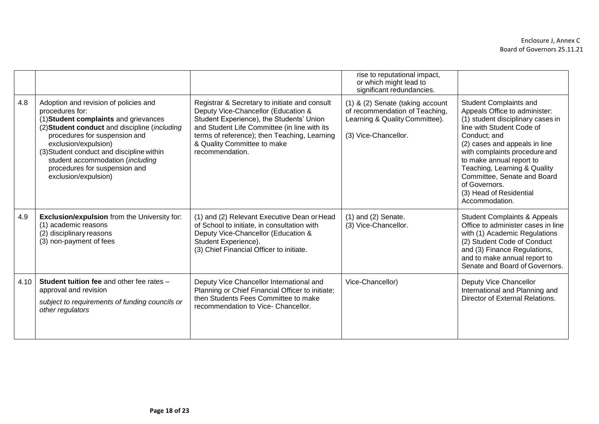|      |                                                                                                                                                                                                                                                                                                                                                       |                                                                                                                                                                                                                                                                                    | rise to reputational impact,<br>or which might lead to<br>significant redundancies.                                          |                                                                                                                                                                                                                                                                                                                                                                      |
|------|-------------------------------------------------------------------------------------------------------------------------------------------------------------------------------------------------------------------------------------------------------------------------------------------------------------------------------------------------------|------------------------------------------------------------------------------------------------------------------------------------------------------------------------------------------------------------------------------------------------------------------------------------|------------------------------------------------------------------------------------------------------------------------------|----------------------------------------------------------------------------------------------------------------------------------------------------------------------------------------------------------------------------------------------------------------------------------------------------------------------------------------------------------------------|
| 4.8  | Adoption and revision of policies and<br>procedures for:<br>(1) Student complaints and grievances<br>(2) Student conduct and discipline (including<br>procedures for suspension and<br>exclusion/expulsion)<br>(3) Student conduct and discipline within<br>student accommodation (including<br>procedures for suspension and<br>exclusion/expulsion) | Registrar & Secretary to initiate and consult<br>Deputy Vice-Chancellor (Education &<br>Student Experience), the Students' Union<br>and Student Life Committee (in line with its<br>terms of reference); then Teaching, Learning<br>& Quality Committee to make<br>recommendation. | (1) & (2) Senate (taking account<br>of recommendation of Teaching,<br>Learning & Quality Committee).<br>(3) Vice-Chancellor. | Student Complaints and<br>Appeals Office to administer:<br>(1) student disciplinary cases in<br>line with Student Code of<br>Conduct; and<br>(2) cases and appeals in line<br>with complaints procedure and<br>to make annual report to<br>Teaching, Learning & Quality<br>Committee, Senate and Board<br>of Governors.<br>(3) Head of Residential<br>Accommodation. |
| 4.9  | <b>Exclusion/expulsion</b> from the University for:<br>(1) academic reasons<br>(2) disciplinary reasons<br>(3) non-payment of fees                                                                                                                                                                                                                    | (1) and (2) Relevant Executive Dean or Head<br>of School to initiate, in consultation with<br>Deputy Vice-Chancellor (Education &<br>Student Experience).<br>(3) Chief Financial Officer to initiate.                                                                              | $(1)$ and $(2)$ Senate.<br>(3) Vice-Chancellor.                                                                              | <b>Student Complaints &amp; Appeals</b><br>Office to administer cases in line<br>with (1) Academic Regulations<br>(2) Student Code of Conduct<br>and (3) Finance Regulations,<br>and to make annual report to<br>Senate and Board of Governors.                                                                                                                      |
| 4.10 | <b>Student tuition fee and other fee rates -</b><br>approval and revision<br>subject to requirements of funding councils or<br>other regulators                                                                                                                                                                                                       | Deputy Vice Chancellor International and<br>Planning or Chief Financial Officer to initiate;<br>then Students Fees Committee to make<br>recommendation to Vice- Chancellor.                                                                                                        | Vice-Chancellor)                                                                                                             | Deputy Vice Chancellor<br>International and Planning and<br>Director of External Relations.                                                                                                                                                                                                                                                                          |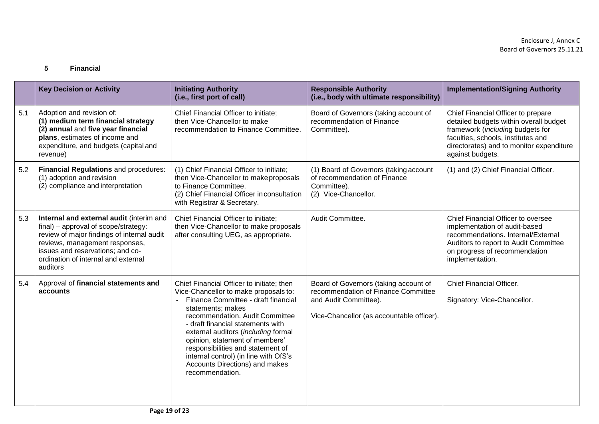### **5 Financial**

|     | <b>Key Decision or Activity</b>                                                                                                                                                                                                                         | <b>Initiating Authority</b><br>(i.e., first port of call)                                                                                                                                                                                                                                                                                                                                                                          | <b>Responsible Authority</b><br>(i.e., body with ultimate responsibility)                                                                          | <b>Implementation/Signing Authority</b>                                                                                                                                                                                |
|-----|---------------------------------------------------------------------------------------------------------------------------------------------------------------------------------------------------------------------------------------------------------|------------------------------------------------------------------------------------------------------------------------------------------------------------------------------------------------------------------------------------------------------------------------------------------------------------------------------------------------------------------------------------------------------------------------------------|----------------------------------------------------------------------------------------------------------------------------------------------------|------------------------------------------------------------------------------------------------------------------------------------------------------------------------------------------------------------------------|
| 5.1 | Adoption and revision of:<br>(1) medium term financial strategy<br>(2) annual and five year financial<br>plans, estimates of income and<br>expenditure, and budgets (capital and<br>revenue)                                                            | Chief Financial Officer to initiate;<br>then Vice-Chancellor to make<br>recommendation to Finance Committee.                                                                                                                                                                                                                                                                                                                       | Board of Governors (taking account of<br>recommendation of Finance<br>Committee).                                                                  | Chief Financial Officer to prepare<br>detailed budgets within overall budget<br>framework (including budgets for<br>faculties, schools, institutes and<br>directorates) and to monitor expenditure<br>against budgets. |
| 5.2 | Financial Regulations and procedures:<br>(1) adoption and revision<br>(2) compliance and interpretation                                                                                                                                                 | (1) Chief Financial Officer to initiate;<br>then Vice-Chancellor to make proposals<br>to Finance Committee.<br>(2) Chief Financial Officer in consultation<br>with Registrar & Secretary.                                                                                                                                                                                                                                          | (1) Board of Governors (taking account<br>of recommendation of Finance<br>Committee).<br>(2) Vice-Chancellor.                                      | (1) and (2) Chief Financial Officer.                                                                                                                                                                                   |
| 5.3 | Internal and external audit (interim and<br>final) - approval of scope/strategy:<br>review of major findings of internal audit<br>reviews, management responses,<br>issues and reservations; and co-<br>ordination of internal and external<br>auditors | Chief Financial Officer to initiate;<br>then Vice-Chancellor to make proposals<br>after consulting UEG, as appropriate.                                                                                                                                                                                                                                                                                                            | Audit Committee.                                                                                                                                   | Chief Financial Officer to oversee<br>implementation of audit-based<br>recommendations. Internal/External<br>Auditors to report to Audit Committee<br>on progress of recommendation<br>implementation.                 |
| 5.4 | Approval of financial statements and<br>accounts                                                                                                                                                                                                        | Chief Financial Officer to initiate; then<br>Vice-Chancellor to make proposals to:<br>Finance Committee - draft financial<br>statements; makes<br>recommendation. Audit Committee<br>- draft financial statements with<br>external auditors (including formal<br>opinion, statement of members'<br>responsibilities and statement of<br>internal control) (in line with OfS's<br>Accounts Directions) and makes<br>recommendation. | Board of Governors (taking account of<br>recommendation of Finance Committee<br>and Audit Committee).<br>Vice-Chancellor (as accountable officer). | <b>Chief Financial Officer.</b><br>Signatory: Vice-Chancellor.                                                                                                                                                         |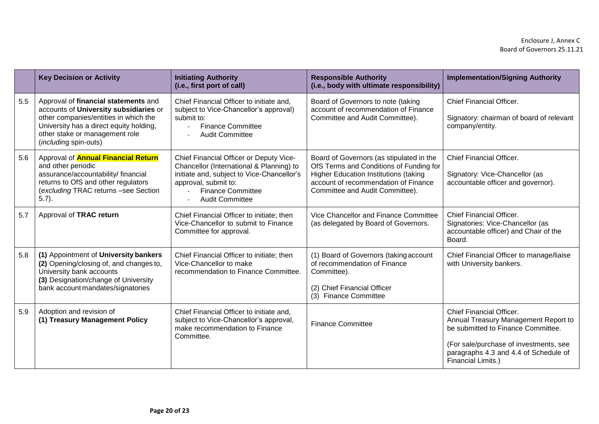|     | <b>Key Decision or Activity</b>                                                                                                                                                                                               | <b>Initiating Authority</b><br>(i.e., first port of call)                                                                                                                                                       | <b>Responsible Authority</b><br>(i.e., body with ultimate responsibility)                                                                                                                                      | <b>Implementation/Signing Authority</b>                                                                                                                                                                         |
|-----|-------------------------------------------------------------------------------------------------------------------------------------------------------------------------------------------------------------------------------|-----------------------------------------------------------------------------------------------------------------------------------------------------------------------------------------------------------------|----------------------------------------------------------------------------------------------------------------------------------------------------------------------------------------------------------------|-----------------------------------------------------------------------------------------------------------------------------------------------------------------------------------------------------------------|
| 5.5 | Approval of financial statements and<br>accounts of University subsidiaries or<br>other companies/entities in which the<br>University has a direct equity holding,<br>other stake or management role<br>(including spin-outs) | Chief Financial Officer to initiate and,<br>subject to Vice-Chancellor's approval)<br>submit to:<br><b>Finance Committee</b><br><b>Audit Committee</b>                                                          | Board of Governors to note (taking<br>account of recommendation of Finance<br>Committee and Audit Committee).                                                                                                  | <b>Chief Financial Officer.</b><br>Signatory: chairman of board of relevant<br>company/entity.                                                                                                                  |
| 5.6 | Approval of <b>Annual Financial Return</b><br>and other periodic<br>assurance/accountability/ financial<br>returns to OfS and other regulators<br>(excluding TRAC returns -see Section<br>$5.7$ ).                            | Chief Financial Officer or Deputy Vice-<br>Chancellor (International & Planning) to<br>initiate and, subject to Vice-Chancellor's<br>approval, submit to:<br><b>Finance Committee</b><br><b>Audit Committee</b> | Board of Governors (as stipulated in the<br>OfS Terms and Conditions of Funding for<br><b>Higher Education Institutions (taking</b><br>account of recommendation of Finance<br>Committee and Audit Committee). | <b>Chief Financial Officer.</b><br>Signatory: Vice-Chancellor (as<br>accountable officer and governor).                                                                                                         |
| 5.7 | Approval of TRAC return                                                                                                                                                                                                       | Chief Financial Officer to initiate; then<br>Vice-Chancellor to submit to Finance<br>Committee for approval.                                                                                                    | Vice Chancellor and Finance Committee<br>(as delegated by Board of Governors.                                                                                                                                  | <b>Chief Financial Officer.</b><br>Signatories: Vice-Chancellor (as<br>accountable officer) and Chair of the<br>Board.                                                                                          |
| 5.8 | (1) Appointment of University bankers<br>(2) Opening/closing of, and changes to,<br>University bank accounts<br>(3) Designation/change of University<br>bank account mandates/signatories                                     | Chief Financial Officer to initiate; then<br>Vice-Chancellor to make<br>recommendation to Finance Committee.                                                                                                    | (1) Board of Governors (taking account<br>of recommendation of Finance<br>Committee).<br>(2) Chief Financial Officer<br>(3) Finance Committee                                                                  | Chief Financial Officer to manage/liaise<br>with University bankers.                                                                                                                                            |
| 5.9 | Adoption and revision of<br>(1) Treasury Management Policy                                                                                                                                                                    | Chief Financial Officer to initiate and,<br>subject to Vice-Chancellor's approval,<br>make recommendation to Finance<br>Committee.                                                                              | <b>Finance Committee</b>                                                                                                                                                                                       | Chief Financial Officer.<br>Annual Treasury Management Report to<br>be submitted to Finance Committee.<br>(For sale/purchase of investments, see<br>paragraphs 4.3 and 4.4 of Schedule of<br>Financial Limits.) |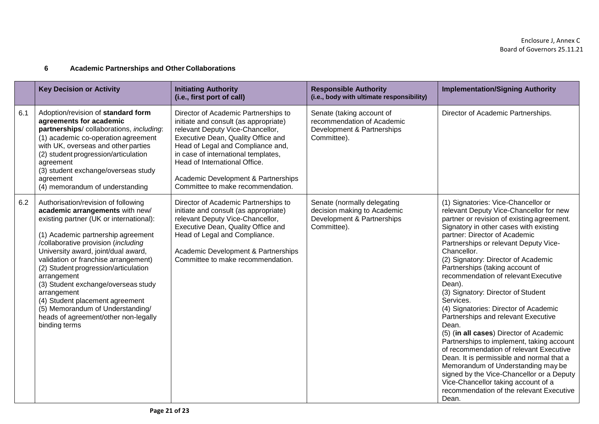## **6 Academic Partnerships and Other Collaborations**

|     | <b>Key Decision or Activity</b>                                                                                                                                                                                                                                                                                                                                                                                                                                                                                            | <b>Initiating Authority</b><br>(i.e., first port of call)                                                                                                                                                                                                                                                                                        | <b>Responsible Authority</b><br>(i.e., body with ultimate responsibility)                               | <b>Implementation/Signing Authority</b>                                                                                                                                                                                                                                                                                                                                                                                                                                                                                                                                                                                                                                                                                                                                                                                                                                                                |
|-----|----------------------------------------------------------------------------------------------------------------------------------------------------------------------------------------------------------------------------------------------------------------------------------------------------------------------------------------------------------------------------------------------------------------------------------------------------------------------------------------------------------------------------|--------------------------------------------------------------------------------------------------------------------------------------------------------------------------------------------------------------------------------------------------------------------------------------------------------------------------------------------------|---------------------------------------------------------------------------------------------------------|--------------------------------------------------------------------------------------------------------------------------------------------------------------------------------------------------------------------------------------------------------------------------------------------------------------------------------------------------------------------------------------------------------------------------------------------------------------------------------------------------------------------------------------------------------------------------------------------------------------------------------------------------------------------------------------------------------------------------------------------------------------------------------------------------------------------------------------------------------------------------------------------------------|
| 6.1 | Adoption/revision of standard form<br>agreements for academic<br>partnerships/collaborations, including:<br>(1) academic co-operation agreement<br>with UK, overseas and other parties<br>(2) student progression/articulation<br>agreement<br>(3) student exchange/overseas study<br>agreement<br>(4) memorandum of understanding                                                                                                                                                                                         | Director of Academic Partnerships to<br>initiate and consult (as appropriate)<br>relevant Deputy Vice-Chancellor,<br>Executive Dean, Quality Office and<br>Head of Legal and Compliance and,<br>in case of international templates,<br>Head of International Office.<br>Academic Development & Partnerships<br>Committee to make recommendation. | Senate (taking account of<br>recommendation of Academic<br>Development & Partnerships<br>Committee).    | Director of Academic Partnerships.                                                                                                                                                                                                                                                                                                                                                                                                                                                                                                                                                                                                                                                                                                                                                                                                                                                                     |
| 6.2 | Authorisation/revision of following<br>academic arrangements with new/<br>existing partner (UK or international):<br>(1) Academic partnership agreement<br>/collaborative provision (including<br>University award, joint/dual award,<br>validation or franchise arrangement)<br>(2) Student progression/articulation<br>arrangement<br>(3) Student exchange/overseas study<br>arrangement<br>(4) Student placement agreement<br>(5) Memorandum of Understanding/<br>heads of agreement/other non-legally<br>binding terms | Director of Academic Partnerships to<br>initiate and consult (as appropriate)<br>relevant Deputy Vice-Chancellor,<br>Executive Dean, Quality Office and<br>Head of Legal and Compliance.<br>Academic Development & Partnerships<br>Committee to make recommendation.                                                                             | Senate (normally delegating<br>decision making to Academic<br>Development & Partnerships<br>Committee). | (1) Signatories: Vice-Chancellor or<br>relevant Deputy Vice-Chancellor for new<br>partner or revision of existing agreement.<br>Signatory in other cases with existing<br>partner: Director of Academic<br>Partnerships or relevant Deputy Vice-<br>Chancellor.<br>(2) Signatory: Director of Academic<br>Partnerships (taking account of<br>recommendation of relevant Executive<br>Dean).<br>(3) Signatory: Director of Student<br>Services.<br>(4) Signatories: Director of Academic<br>Partnerships and relevant Executive<br>Dean.<br>(5) (in all cases) Director of Academic<br>Partnerships to implement, taking account<br>of recommendation of relevant Executive<br>Dean. It is permissible and normal that a<br>Memorandum of Understanding may be<br>signed by the Vice-Chancellor or a Deputy<br>Vice-Chancellor taking account of a<br>recommendation of the relevant Executive<br>Dean. |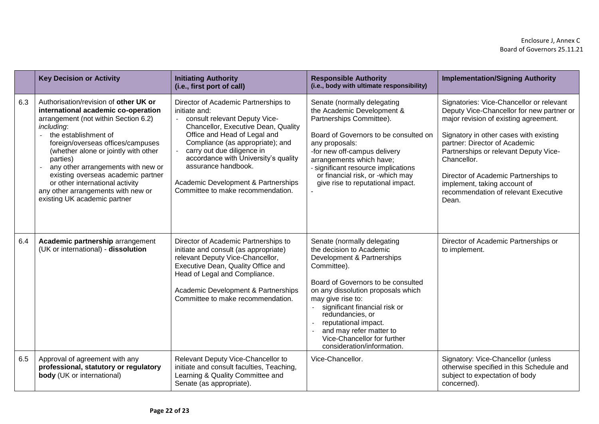|     | <b>Key Decision or Activity</b>                                                                                                                                                                                                                                                                                                                                                                                                                            | <b>Initiating Authority</b><br>(i.e., first port of call)                                                                                                                                                                                                                                                                                                                  | <b>Responsible Authority</b><br>(i.e., body with ultimate responsibility)                                                                                                                                                                                                                                                                                                  | <b>Implementation/Signing Authority</b>                                                                                                                                                                                                                                                                                                                                                    |
|-----|------------------------------------------------------------------------------------------------------------------------------------------------------------------------------------------------------------------------------------------------------------------------------------------------------------------------------------------------------------------------------------------------------------------------------------------------------------|----------------------------------------------------------------------------------------------------------------------------------------------------------------------------------------------------------------------------------------------------------------------------------------------------------------------------------------------------------------------------|----------------------------------------------------------------------------------------------------------------------------------------------------------------------------------------------------------------------------------------------------------------------------------------------------------------------------------------------------------------------------|--------------------------------------------------------------------------------------------------------------------------------------------------------------------------------------------------------------------------------------------------------------------------------------------------------------------------------------------------------------------------------------------|
| 6.3 | Authorisation/revision of other UK or<br>international academic co-operation<br>arrangement (not within Section 6.2)<br>including:<br>the establishment of<br>$\overline{a}$<br>foreign/overseas offices/campuses<br>(whether alone or jointly with other<br>parties)<br>any other arrangements with new or<br>existing overseas academic partner<br>or other international activity<br>any other arrangements with new or<br>existing UK academic partner | Director of Academic Partnerships to<br>initiate and:<br>consult relevant Deputy Vice-<br>Chancellor, Executive Dean, Quality<br>Office and Head of Legal and<br>Compliance (as appropriate); and<br>carry out due diligence in<br>accordance with University's quality<br>assurance handbook.<br>Academic Development & Partnerships<br>Committee to make recommendation. | Senate (normally delegating<br>the Academic Development &<br>Partnerships Committee).<br>Board of Governors to be consulted on<br>any proposals:<br>-for new off-campus delivery<br>arrangements which have;<br>- significant resource implications<br>or financial risk, or -which may<br>give rise to reputational impact.                                               | Signatories: Vice-Chancellor or relevant<br>Deputy Vice-Chancellor for new partner or<br>major revision of existing agreement.<br>Signatory in other cases with existing<br>partner: Director of Academic<br>Partnerships or relevant Deputy Vice-<br>Chancellor.<br>Director of Academic Partnerships to<br>implement, taking account of<br>recommendation of relevant Executive<br>Dean. |
| 6.4 | Academic partnership arrangement<br>(UK or international) - dissolution                                                                                                                                                                                                                                                                                                                                                                                    | Director of Academic Partnerships to<br>initiate and consult (as appropriate)<br>relevant Deputy Vice-Chancellor,<br>Executive Dean, Quality Office and<br>Head of Legal and Compliance.<br>Academic Development & Partnerships<br>Committee to make recommendation.                                                                                                       | Senate (normally delegating<br>the decision to Academic<br>Development & Partnerships<br>Committee).<br>Board of Governors to be consulted<br>on any dissolution proposals which<br>may give rise to:<br>significant financial risk or<br>redundancies, or<br>reputational impact.<br>and may refer matter to<br>Vice-Chancellor for further<br>consideration/information. | Director of Academic Partnerships or<br>to implement.                                                                                                                                                                                                                                                                                                                                      |
| 6.5 | Approval of agreement with any<br>professional, statutory or regulatory<br><b>body</b> (UK or international)                                                                                                                                                                                                                                                                                                                                               | Relevant Deputy Vice-Chancellor to<br>initiate and consult faculties, Teaching,<br>Learning & Quality Committee and<br>Senate (as appropriate).                                                                                                                                                                                                                            | Vice-Chancellor.                                                                                                                                                                                                                                                                                                                                                           | Signatory: Vice-Chancellor (unless<br>otherwise specified in this Schedule and<br>subject to expectation of body<br>concerned).                                                                                                                                                                                                                                                            |